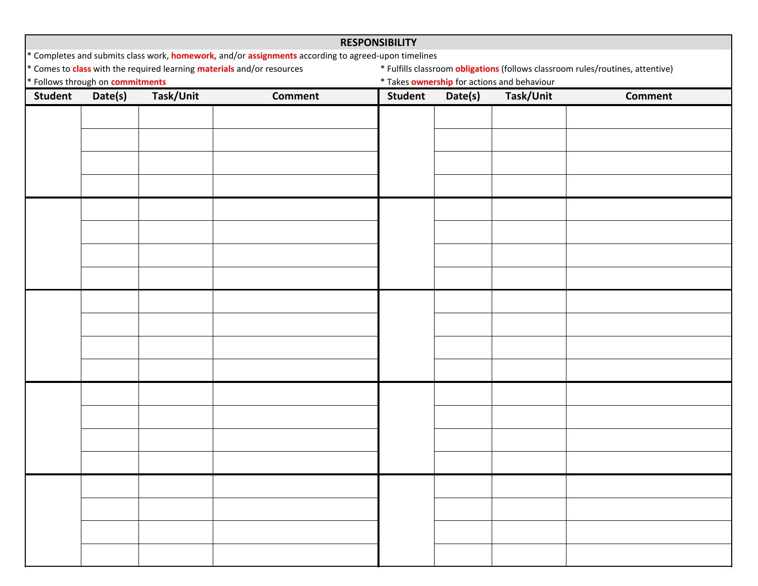| <b>RESPONSIBILITY</b>                                                                                                                                                                                                                                                                |         |           |                |                |                                             |           |                |  |  |  |
|--------------------------------------------------------------------------------------------------------------------------------------------------------------------------------------------------------------------------------------------------------------------------------------|---------|-----------|----------------|----------------|---------------------------------------------|-----------|----------------|--|--|--|
| * Completes and submits class work, <b>homework,</b> and/or <b>assignments</b> according to agreed-upon timelines<br>* Comes to class with the required learning materials and/or resources<br>* Fulfills classroom <i>obligations</i> (follows classroom rules/routines, attentive) |         |           |                |                |                                             |           |                |  |  |  |
| * Follows through on <b>commitments</b>                                                                                                                                                                                                                                              |         |           |                |                | * Takes ownership for actions and behaviour |           |                |  |  |  |
| <b>Student</b>                                                                                                                                                                                                                                                                       | Date(s) | Task/Unit | <b>Comment</b> | <b>Student</b> | Date(s)                                     | Task/Unit | <b>Comment</b> |  |  |  |
|                                                                                                                                                                                                                                                                                      |         |           |                |                |                                             |           |                |  |  |  |
|                                                                                                                                                                                                                                                                                      |         |           |                |                |                                             |           |                |  |  |  |
|                                                                                                                                                                                                                                                                                      |         |           |                |                |                                             |           |                |  |  |  |
|                                                                                                                                                                                                                                                                                      |         |           |                |                |                                             |           |                |  |  |  |
|                                                                                                                                                                                                                                                                                      |         |           |                |                |                                             |           |                |  |  |  |
|                                                                                                                                                                                                                                                                                      |         |           |                |                |                                             |           |                |  |  |  |
|                                                                                                                                                                                                                                                                                      |         |           |                |                |                                             |           |                |  |  |  |
|                                                                                                                                                                                                                                                                                      |         |           |                |                |                                             |           |                |  |  |  |
|                                                                                                                                                                                                                                                                                      |         |           |                |                |                                             |           |                |  |  |  |
|                                                                                                                                                                                                                                                                                      |         |           |                |                |                                             |           |                |  |  |  |
|                                                                                                                                                                                                                                                                                      |         |           |                |                |                                             |           |                |  |  |  |
|                                                                                                                                                                                                                                                                                      |         |           |                |                |                                             |           |                |  |  |  |
|                                                                                                                                                                                                                                                                                      |         |           |                |                |                                             |           |                |  |  |  |
|                                                                                                                                                                                                                                                                                      |         |           |                |                |                                             |           |                |  |  |  |
|                                                                                                                                                                                                                                                                                      |         |           |                |                |                                             |           |                |  |  |  |
|                                                                                                                                                                                                                                                                                      |         |           |                |                |                                             |           |                |  |  |  |
|                                                                                                                                                                                                                                                                                      |         |           |                |                |                                             |           |                |  |  |  |
|                                                                                                                                                                                                                                                                                      |         |           |                |                |                                             |           |                |  |  |  |
|                                                                                                                                                                                                                                                                                      |         |           |                |                |                                             |           |                |  |  |  |
|                                                                                                                                                                                                                                                                                      |         |           |                |                |                                             |           |                |  |  |  |
|                                                                                                                                                                                                                                                                                      |         |           |                |                |                                             |           |                |  |  |  |
|                                                                                                                                                                                                                                                                                      |         |           |                |                |                                             |           |                |  |  |  |
|                                                                                                                                                                                                                                                                                      |         |           |                |                |                                             |           |                |  |  |  |
|                                                                                                                                                                                                                                                                                      |         |           |                |                |                                             |           |                |  |  |  |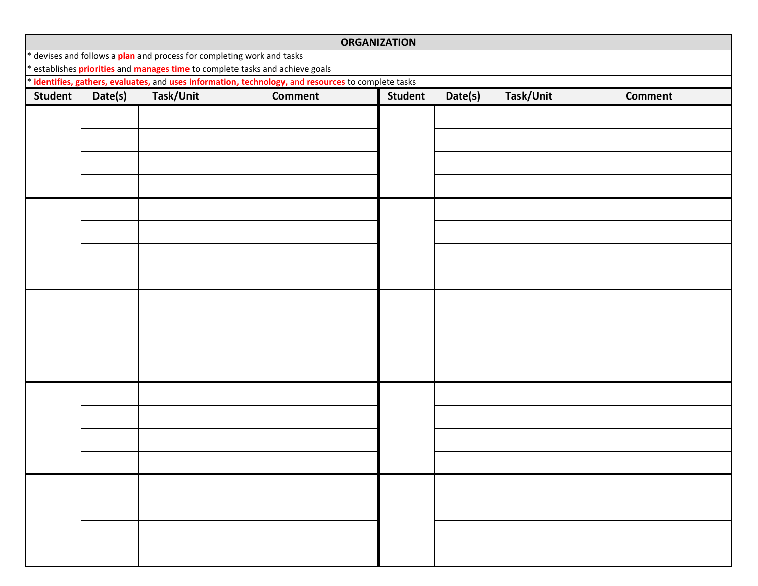| <b>ORGANIZATION</b>                                                                                 |                                                                                                                                                                     |           |                |                |         |           |                |  |  |  |
|-----------------------------------------------------------------------------------------------------|---------------------------------------------------------------------------------------------------------------------------------------------------------------------|-----------|----------------|----------------|---------|-----------|----------------|--|--|--|
|                                                                                                     | * devises and follows a plan and process for completing work and tasks<br>establishes <i>priorities</i> and <i>manages time</i> to complete tasks and achieve goals |           |                |                |         |           |                |  |  |  |
| * identifies, gathers, evaluates, and uses information, technology, and resources to complete tasks |                                                                                                                                                                     |           |                |                |         |           |                |  |  |  |
| <b>Student</b>                                                                                      | Date(s)                                                                                                                                                             | Task/Unit | <b>Comment</b> | <b>Student</b> | Date(s) | Task/Unit | <b>Comment</b> |  |  |  |
|                                                                                                     |                                                                                                                                                                     |           |                |                |         |           |                |  |  |  |
|                                                                                                     |                                                                                                                                                                     |           |                |                |         |           |                |  |  |  |
|                                                                                                     |                                                                                                                                                                     |           |                |                |         |           |                |  |  |  |
|                                                                                                     |                                                                                                                                                                     |           |                |                |         |           |                |  |  |  |
|                                                                                                     |                                                                                                                                                                     |           |                |                |         |           |                |  |  |  |
|                                                                                                     |                                                                                                                                                                     |           |                |                |         |           |                |  |  |  |
|                                                                                                     |                                                                                                                                                                     |           |                |                |         |           |                |  |  |  |
|                                                                                                     |                                                                                                                                                                     |           |                |                |         |           |                |  |  |  |
|                                                                                                     |                                                                                                                                                                     |           |                |                |         |           |                |  |  |  |
|                                                                                                     |                                                                                                                                                                     |           |                |                |         |           |                |  |  |  |
|                                                                                                     |                                                                                                                                                                     |           |                |                |         |           |                |  |  |  |
|                                                                                                     |                                                                                                                                                                     |           |                |                |         |           |                |  |  |  |
|                                                                                                     |                                                                                                                                                                     |           |                |                |         |           |                |  |  |  |
|                                                                                                     |                                                                                                                                                                     |           |                |                |         |           |                |  |  |  |
|                                                                                                     |                                                                                                                                                                     |           |                |                |         |           |                |  |  |  |
|                                                                                                     |                                                                                                                                                                     |           |                |                |         |           |                |  |  |  |
|                                                                                                     |                                                                                                                                                                     |           |                |                |         |           |                |  |  |  |
|                                                                                                     |                                                                                                                                                                     |           |                |                |         |           |                |  |  |  |
|                                                                                                     |                                                                                                                                                                     |           |                |                |         |           |                |  |  |  |
|                                                                                                     |                                                                                                                                                                     |           |                |                |         |           |                |  |  |  |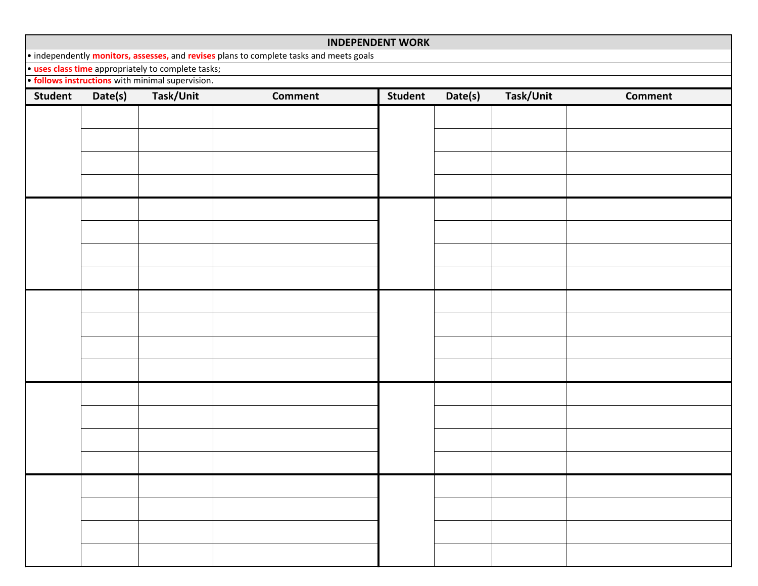## **INDEPENDENT WORK**

• independently **monitors, assesses,** and **revises** plans to complete tasks and meets goals

• **uses class time** appropriately to complete tasks;

• **follows instructions** with minimal supervision.

| Student | Date(s) | Task/Unit | Comment | Student | Date(s) | Task/Unit | Comment |
|---------|---------|-----------|---------|---------|---------|-----------|---------|
|         |         |           |         |         |         |           |         |
|         |         |           |         |         |         |           |         |
|         |         |           |         |         |         |           |         |
|         |         |           |         |         |         |           |         |
|         |         |           |         |         |         |           |         |
|         |         |           |         |         |         |           |         |
|         |         |           |         |         |         |           |         |
|         |         |           |         |         |         |           |         |
|         |         |           |         |         |         |           |         |
|         |         |           |         |         |         |           |         |
|         |         |           |         |         |         |           |         |
|         |         |           |         |         |         |           |         |
|         |         |           |         |         |         |           |         |
|         |         |           |         |         |         |           |         |
|         |         |           |         |         |         |           |         |
|         |         |           |         |         |         |           |         |
|         |         |           |         |         |         |           |         |
|         |         |           |         |         |         |           |         |
|         |         |           |         |         |         |           |         |
|         |         |           |         |         |         |           |         |
|         |         |           |         |         |         |           |         |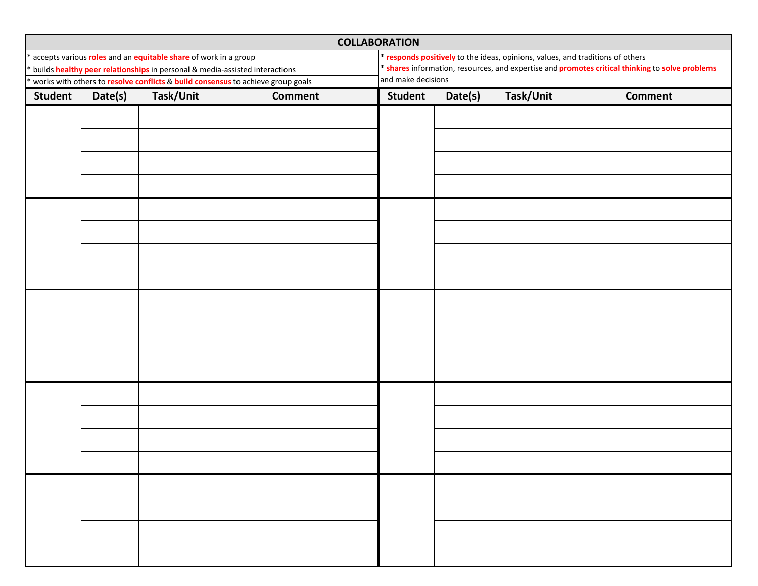| <b>COLLABORATION</b> |         |                                                                                 |                |                                                                                                 |         |           |                |  |  |
|----------------------|---------|---------------------------------------------------------------------------------|----------------|-------------------------------------------------------------------------------------------------|---------|-----------|----------------|--|--|
|                      |         | accepts various roles and an equitable share of work in a group                 |                | * responds positively to the ideas, opinions, values, and traditions of others                  |         |           |                |  |  |
|                      |         | builds healthy peer relationships in personal & media-assisted interactions     |                | * shares information, resources, and expertise and promotes critical thinking to solve problems |         |           |                |  |  |
|                      |         | works with others to resolve conflicts & build consensus to achieve group goals |                | and make decisions                                                                              |         |           |                |  |  |
| <b>Student</b>       | Date(s) | Task/Unit                                                                       | <b>Comment</b> | <b>Student</b>                                                                                  | Date(s) | Task/Unit | <b>Comment</b> |  |  |
|                      |         |                                                                                 |                |                                                                                                 |         |           |                |  |  |
|                      |         |                                                                                 |                |                                                                                                 |         |           |                |  |  |
|                      |         |                                                                                 |                |                                                                                                 |         |           |                |  |  |
|                      |         |                                                                                 |                |                                                                                                 |         |           |                |  |  |
|                      |         |                                                                                 |                |                                                                                                 |         |           |                |  |  |
|                      |         |                                                                                 |                |                                                                                                 |         |           |                |  |  |
|                      |         |                                                                                 |                |                                                                                                 |         |           |                |  |  |
|                      |         |                                                                                 |                |                                                                                                 |         |           |                |  |  |
|                      |         |                                                                                 |                |                                                                                                 |         |           |                |  |  |
|                      |         |                                                                                 |                |                                                                                                 |         |           |                |  |  |
|                      |         |                                                                                 |                |                                                                                                 |         |           |                |  |  |
|                      |         |                                                                                 |                |                                                                                                 |         |           |                |  |  |
|                      |         |                                                                                 |                |                                                                                                 |         |           |                |  |  |
|                      |         |                                                                                 |                |                                                                                                 |         |           |                |  |  |
|                      |         |                                                                                 |                |                                                                                                 |         |           |                |  |  |
|                      |         |                                                                                 |                |                                                                                                 |         |           |                |  |  |
|                      |         |                                                                                 |                |                                                                                                 |         |           |                |  |  |
|                      |         |                                                                                 |                |                                                                                                 |         |           |                |  |  |
|                      |         |                                                                                 |                |                                                                                                 |         |           |                |  |  |
|                      |         |                                                                                 |                |                                                                                                 |         |           |                |  |  |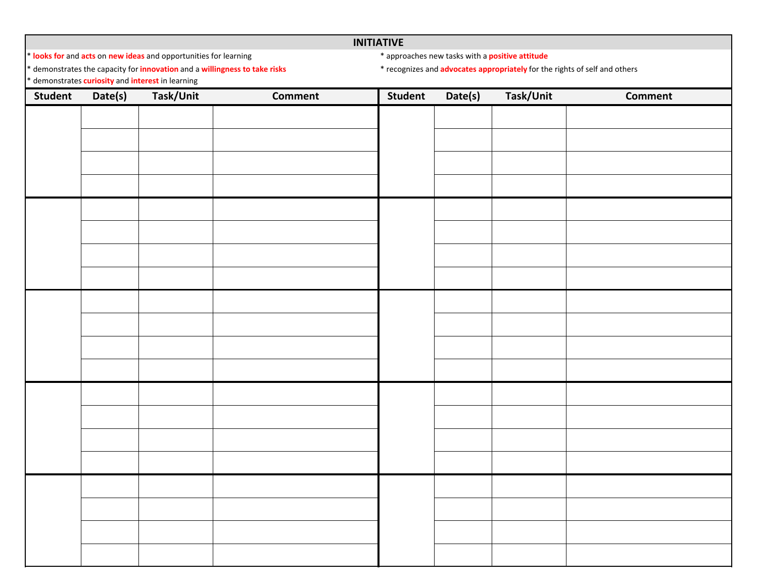## **INITIATIVE**

\* **looks for** and **acts** on **new**

\* demonstrates the capacity for **innovation** and <sup>a</sup> **willingness to take risks** \* recognizes and **advocates appropriately** for the rights of self and others

- **ideas** and opportunities for learning \* approaches new tasks with <sup>a</sup> **positive attitude**
- 

\* demonstrates **curiosity** and **interest** in learning

| Student | Date(s) | demonstrates currosity and interest in rearring<br>Task/Unit | <b>Comment</b> | Student | Date(s) | Task/Unit | <b>Comment</b> |
|---------|---------|--------------------------------------------------------------|----------------|---------|---------|-----------|----------------|
|         |         |                                                              |                |         |         |           |                |
|         |         |                                                              |                |         |         |           |                |
|         |         |                                                              |                |         |         |           |                |
|         |         |                                                              |                |         |         |           |                |
|         |         |                                                              |                |         |         |           |                |
|         |         |                                                              |                |         |         |           |                |
|         |         |                                                              |                |         |         |           |                |
|         |         |                                                              |                |         |         |           |                |
|         |         |                                                              |                |         |         |           |                |
|         |         |                                                              |                |         |         |           |                |
|         |         |                                                              |                |         |         |           |                |
|         |         |                                                              |                |         |         |           |                |
|         |         |                                                              |                |         |         |           |                |
|         |         |                                                              |                |         |         |           |                |
|         |         |                                                              |                |         |         |           |                |
|         |         |                                                              |                |         |         |           |                |
|         |         |                                                              |                |         |         |           |                |
|         |         |                                                              |                |         |         |           |                |
|         |         |                                                              |                |         |         |           |                |
|         |         |                                                              |                |         |         |           |                |
|         |         |                                                              |                |         |         |           |                |